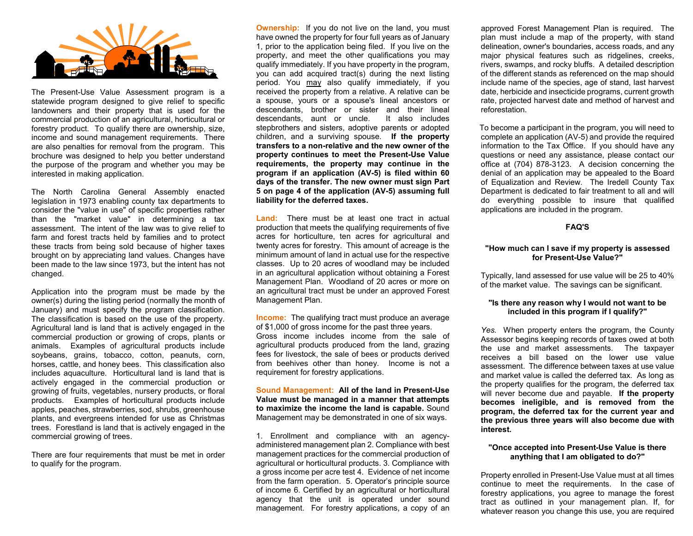

The Present-Use Value Assessment program is a statewide program designed to give relief to specific landowners and their property that is used for the commercial production of an agricultural, horticultural or forestry product. To qualify there are ownership, size, income and sound management requirements. There are also penalties for removal from the program. This brochure was designed to help you better understand the purpose of the program and whether you may be interested in making application.

The North Carolina General Assembly enacted legislation in 1973 enabling county tax departments to consider the "value in use" of specific properties rather than the "market value" in determining a tax assessment. The intent of the law was to give relief to farm and forest tracts held by families and to protect these tracts from being sold because of higher taxes brought on by appreciating land values. Changes have been made to the law since 1973, but the intent has not changed.

Application into the program must be made by the owner(s) during the listing period (normally the month of January) and must specify the program classification. The classification is based on the use of the property. Agricultural land is land that is actively engaged in the commercial production or growing of crops, plants or animals. Examples of agricultural products include soybeans, grains, tobacco, cotton, peanuts, corn, horses, cattle, and honey bees. This classification also includes aquaculture. Horticultural land is land that is actively engaged in the commercial production or growing of fruits, vegetables, nursery products, or floral products. Examples of horticultural products include apples, peaches, strawberries, sod, shrubs, greenhouse plants, and evergreens intended for use as Christmas trees. Forestland is land that is actively engaged in the commercial growing of trees.

There are four requirements that must be met in order to qualify for the program.

**Ownership:** If you do not live on the land, you must have owned the property for four full years as of January 1, prior to the application being filed. If you live on the property, and meet the other qualifications you may qualify immediately. If you have property in the program, you can add acquired tract(s) during the next listing period. You may also qualify immediately, if you received the property from a relative. A relative can be a spouse, yours or a spouse's lineal ancestors or descendants, brother or sister and their lineal descendants, aunt or uncle. It also includes stepbrothers and sisters, adoptive parents or adopted children, and a surviving spouse. **If the property transfers to a non-relative and the new owner of the property continues to meet the Present-Use Value requirements, the property may continue in the program if an application (AV-5) is filed within 60 days of the transfer. The new owner must sign Part 5 on page 4 of the application (AV-5) assuming full liability for the deferred taxes.**

**Land:** There must be at least one tract in actual production that meets the qualifying requirements of five acres for horticulture, ten acres for agricultural and twenty acres for forestry. This amount of acreage is the minimum amount of land in actual use for the respective classes. Up to 20 acres of woodland may be included in an agricultural application without obtaining a Forest Management Plan. Woodland of 20 acres or more on an agricultural tract must be under an approved Forest Management Plan.

**Income:** The qualifying tract must produce an average of \$1,000 of gross income for the past three years. Gross income includes income from the sale of agricultural products produced from the land, grazing fees for livestock, the sale of bees or products derived from beehives other than honey. Income is not a requirement for forestry applications.

**Sound Management: All of the land in Present-Use Value must be managed in a manner that attempts to maximize the income the land is capable.** Sound Management may be demonstrated in one of six ways.

1. Enrollment and compliance with an agencyadministered management plan 2. Compliance with best management practices for the commercial production of agricultural or horticultural products. 3. Compliance with a gross income per acre test 4. Evidence of net income from the farm operation. 5. Operator's principle source of income 6. Certified by an agricultural or horticultural agency that the unit is operated under sound management. For forestry applications, a copy of an approved Forest Management Plan is required. The plan must include a map of the property, with stand delineation, owner's boundaries, access roads, and any major physical features such as ridgelines, creeks, rivers, swamps, and rocky bluffs. A detailed description of the different stands as referenced on the map should include name of the species, age of stand, last harvest date, herbicide and insecticide programs, current growth rate, projected harvest date and method of harvest and reforestation.

 To become a participant in the program, you will need to complete an application (AV-5) and provide the required information to the Tax Office. If you should have any questions or need any assistance, please contact our office at (704) 878-3123. A decision concerning the denial of an application may be appealed to the Board of Equalization and Review. The Iredell County Tax Department is dedicated to fair treatment to all and will do everything possible to insure that qualified applications are included in the program.

#### **FAQ'S**

#### **"How much can I save if my property is assessed for Present-Use Value?"**

Typically, land assessed for use value will be 25 to 40% of the market value. The savings can be significant.

### **"Is there any reason why I would not want to be included in this program if I qualify?"**

*Yes.* When property enters the program, the County Assessor begins keeping records of taxes owed at both the use and market assessments. The taxpayer receives a bill based on the lower use value assessment. The difference between taxes at use value and market value is called the deferred tax. As long as the property qualifies for the program, the deferred tax will never become due and payable. **If the property becomes ineligible, and is removed from the program, the deferred tax for the current year and the previous three years will also become due with interest.** 

### **"Once accepted into Present-Use Value is there anything that I am obligated to do?"**

Property enrolled in Present-Use Value must at all times continue to meet the requirements. In the case of forestry applications, you agree to manage the forest tract as outlined in your management plan. If, for whatever reason you change this use, you are required